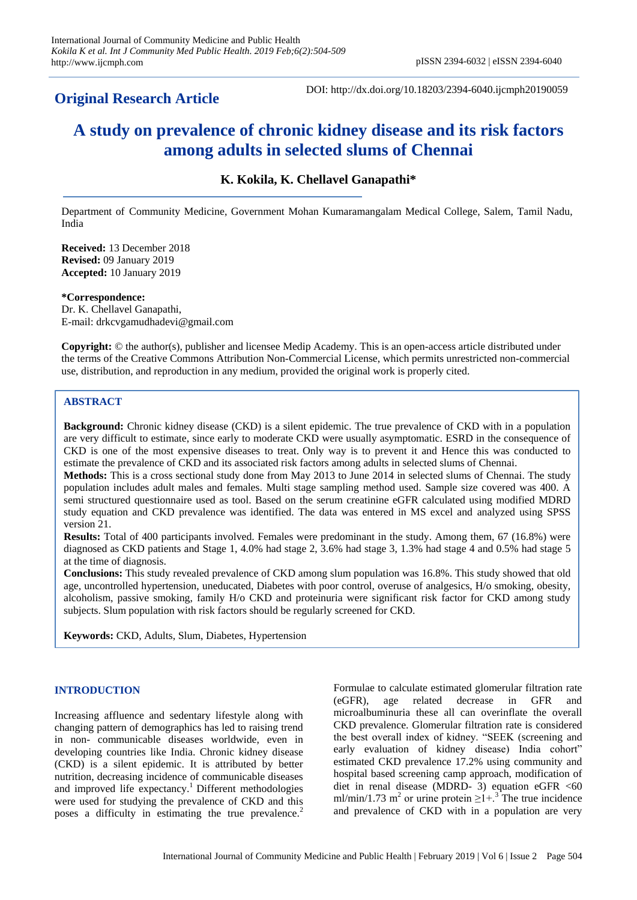# **Original Research Article**

DOI: http://dx.doi.org/10.18203/2394-6040.ijcmph20190059

# **A study on prevalence of chronic kidney disease and its risk factors among adults in selected slums of Chennai**

# **K. Kokila, K. Chellavel Ganapathi\***

Department of Community Medicine, Government Mohan Kumaramangalam Medical College, Salem, Tamil Nadu, India

**Received:** 13 December 2018 **Revised:** 09 January 2019 **Accepted:** 10 January 2019

**\*Correspondence:** Dr. K. Chellavel Ganapathi, E-mail: drkcvgamudhadevi@gmail.com

**Copyright:** © the author(s), publisher and licensee Medip Academy. This is an open-access article distributed under the terms of the Creative Commons Attribution Non-Commercial License, which permits unrestricted non-commercial use, distribution, and reproduction in any medium, provided the original work is properly cited.

# **ABSTRACT**

**Background:** Chronic kidney disease (CKD) is a silent epidemic. The true prevalence of CKD with in a population are very difficult to estimate, since early to moderate CKD were usually asymptomatic. ESRD in the consequence of CKD is one of the most expensive diseases to treat. Only way is to prevent it and Hence this was conducted to estimate the prevalence of CKD and its associated risk factors among adults in selected slums of Chennai.

**Methods:** This is a cross sectional study done from May 2013 to June 2014 in selected slums of Chennai. The study population includes adult males and females. Multi stage sampling method used. Sample size covered was 400. A semi structured questionnaire used as tool. Based on the serum creatinine eGFR calculated using modified MDRD study equation and CKD prevalence was identified. The data was entered in MS excel and analyzed using SPSS version 21.

**Results:** Total of 400 participants involved. Females were predominant in the study. Among them, 67 (16.8%) were diagnosed as CKD patients and Stage 1, 4.0% had stage 2, 3.6% had stage 3, 1.3% had stage 4 and 0.5% had stage 5 at the time of diagnosis.

**Conclusions:** This study revealed prevalence of CKD among slum population was 16.8%. This study showed that old age, uncontrolled hypertension, uneducated, Diabetes with poor control, overuse of analgesics, H/o smoking, obesity, alcoholism, passive smoking, family H/o CKD and proteinuria were significant risk factor for CKD among study subjects. Slum population with risk factors should be regularly screened for CKD.

**Keywords:** CKD, Adults, Slum, Diabetes, Hypertension

## **INTRODUCTION**

Increasing affluence and sedentary lifestyle along with changing pattern of demographics has led to raising trend in non- communicable diseases worldwide, even in developing countries like India. Chronic kidney disease (CKD) is a silent epidemic. It is attributed by better nutrition, decreasing incidence of communicable diseases and improved life expectancy.<sup>1</sup> Different methodologies were used for studying the prevalence of CKD and this poses a difficulty in estimating the true prevalence.<sup>2</sup>

Formulae to calculate estimated glomerular filtration rate (eGFR), age related decrease in GFR and microalbuminuria these all can overinflate the overall CKD prevalence. Glomerular filtration rate is considered the best overall index of kidney. "SEEK (screening and early evaluation of kidney disease) India cohort" estimated CKD prevalence 17.2% using community and hospital based screening camp approach, modification of diet in renal disease (MDRD- 3) equation eGFR  $<60$ ml/min/1.73 m<sup>2</sup> or urine protein  $\geq 1 + .3$ <sup>T</sup> The true incidence and prevalence of CKD with in a population are very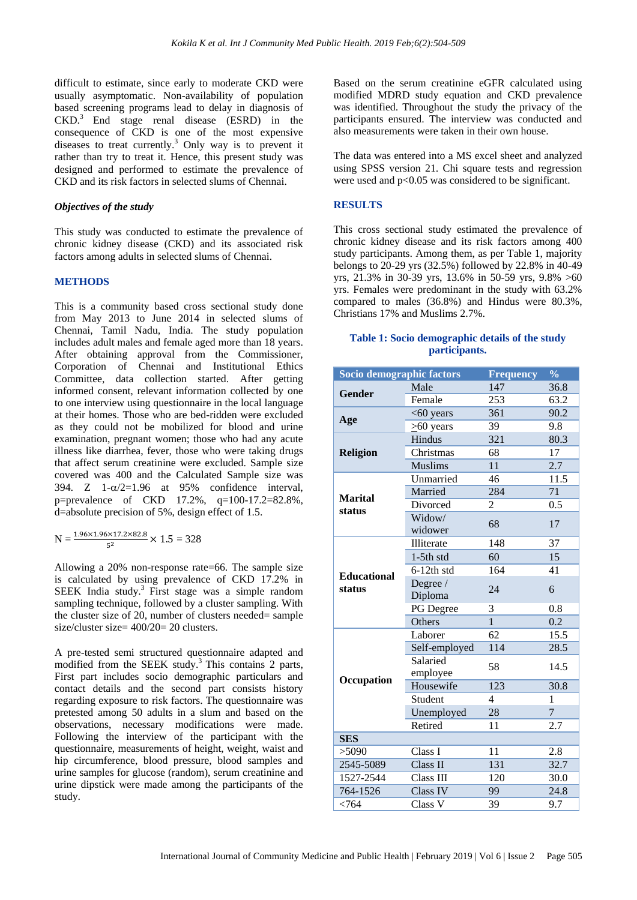difficult to estimate, since early to moderate CKD were usually asymptomatic. Non-availability of population based screening programs lead to delay in diagnosis of  $CKD<sup>3</sup>$  End stage renal disease (ESRD) in the consequence of CKD is one of the most expensive diseases to treat currently.<sup>3</sup> Only way is to prevent it rather than try to treat it. Hence, this present study was designed and performed to estimate the prevalence of CKD and its risk factors in selected slums of Chennai.

#### *Objectives of the study*

This study was conducted to estimate the prevalence of chronic kidney disease (CKD) and its associated risk factors among adults in selected slums of Chennai.

#### **METHODS**

This is a community based cross sectional study done from May 2013 to June 2014 in selected slums of Chennai, Tamil Nadu, India. The study population includes adult males and female aged more than 18 years. After obtaining approval from the Commissioner, Corporation of Chennai and Institutional Ethics Committee, data collection started. After getting informed consent, relevant information collected by one to one interview using questionnaire in the local language at their homes. Those who are bed-ridden were excluded as they could not be mobilized for blood and urine examination, pregnant women; those who had any acute illness like diarrhea, fever, those who were taking drugs that affect serum creatinine were excluded. Sample size covered was 400 and the Calculated Sample size was 394. Z  $1-\alpha/2=1.96$  at 95% confidence interval, p=prevalence of CKD 17.2%, q=100-17.2=82.8%, d=absolute precision of 5%, design effect of 1.5.

$$
N = \frac{1.96 \times 1.96 \times 17.2 \times 82.8}{5^2} \times 1.5 = 328
$$

Allowing a 20% non-response rate=66. The sample size is calculated by using prevalence of CKD 17.2% in SEEK India study.<sup>3</sup> First stage was a simple random sampling technique, followed by a cluster sampling. With the cluster size of 20, number of clusters needed= sample size/cluster size= 400/20= 20 clusters.

A pre-tested semi structured questionnaire adapted and modified from the SEEK study.<sup>3</sup> This contains 2 parts, First part includes socio demographic particulars and contact details and the second part consists history regarding exposure to risk factors. The questionnaire was pretested among 50 adults in a slum and based on the observations, necessary modifications were made. Following the interview of the participant with the questionnaire, measurements of height, weight, waist and hip circumference, blood pressure, blood samples and urine samples for glucose (random), serum creatinine and urine dipstick were made among the participants of the study.

Based on the serum creatinine eGFR calculated using modified MDRD study equation and CKD prevalence was identified. Throughout the study the privacy of the participants ensured. The interview was conducted and also measurements were taken in their own house.

The data was entered into a MS excel sheet and analyzed using SPSS version 21. Chi square tests and regression were used and  $p<0.05$  was considered to be significant.

#### **RESULTS**

This cross sectional study estimated the prevalence of chronic kidney disease and its risk factors among 400 study participants. Among them, as per Table 1, majority belongs to 20-29 yrs (32.5%) followed by 22.8% in 40-49 yrs, 21.3% in 30-39 yrs, 13.6% in 50-59 yrs, 9.8% >60 yrs. Females were predominant in the study with 63.2% compared to males (36.8%) and Hindus were 80.3%, Christians 17% and Muslims 2.7%.

#### **Table 1: Socio demographic details of the study participants.**

| Socio demographic factors    |                      | <b>Frequency</b><br>$\frac{0}{0}$ |                 |  |
|------------------------------|----------------------|-----------------------------------|-----------------|--|
| <b>Gender</b>                | Male                 | 147                               | 36.8            |  |
|                              | Female               | 253                               | 63.2            |  |
| Age                          | $<$ 60 years         | 361                               | 90.2            |  |
|                              | $\geq 60$ years      | 39                                | 9.8             |  |
| <b>Religion</b>              | Hindus               | 321                               | 80.3            |  |
|                              | Christmas            | 68                                | $\overline{17}$ |  |
|                              | <b>Muslims</b>       | 11                                | 2.7             |  |
| <b>Marital</b><br>status     | Unmarried            | 46                                | 11.5            |  |
|                              | Married              | 284                               | 71              |  |
|                              | Divorced             | 2                                 | 0.5             |  |
|                              | Widow/<br>widower    | 68                                | 17              |  |
|                              | Illiterate           | 148                               | 37              |  |
|                              | $1-5th$ std          | 60                                | 15              |  |
|                              | $6-12th$ std         | 164                               | 41              |  |
| <b>Educational</b><br>status | Degree /<br>Diploma  | 24                                | 6               |  |
|                              | PG Degree            | 3                                 | 0.8             |  |
|                              | Others               | $\mathbf{1}$                      | 0.2             |  |
|                              | Laborer              | $\overline{62}$                   | 15.5            |  |
|                              | Self-employed        | 114                               | 28.5            |  |
|                              | Salaried<br>employee | 58                                | 14.5            |  |
| Occupation                   | Housewife            | 123                               | 30.8            |  |
|                              | Student              | 4                                 | 1               |  |
|                              | Unemployed           | 28                                | $\overline{7}$  |  |
|                              | Retired              | 11                                | 2.7             |  |
| <b>SES</b>                   |                      |                                   |                 |  |
| >5090                        | Class I              | 11                                | 2.8             |  |
| 2545-5089                    | Class II             | 131                               | 32.7            |  |
| 1527-2544                    | Class III            | 120                               | 30.0            |  |
| 764-1526                     | Class IV             | 99                                | 24.8            |  |
| < 764                        | Class V              | 39                                | 9.7             |  |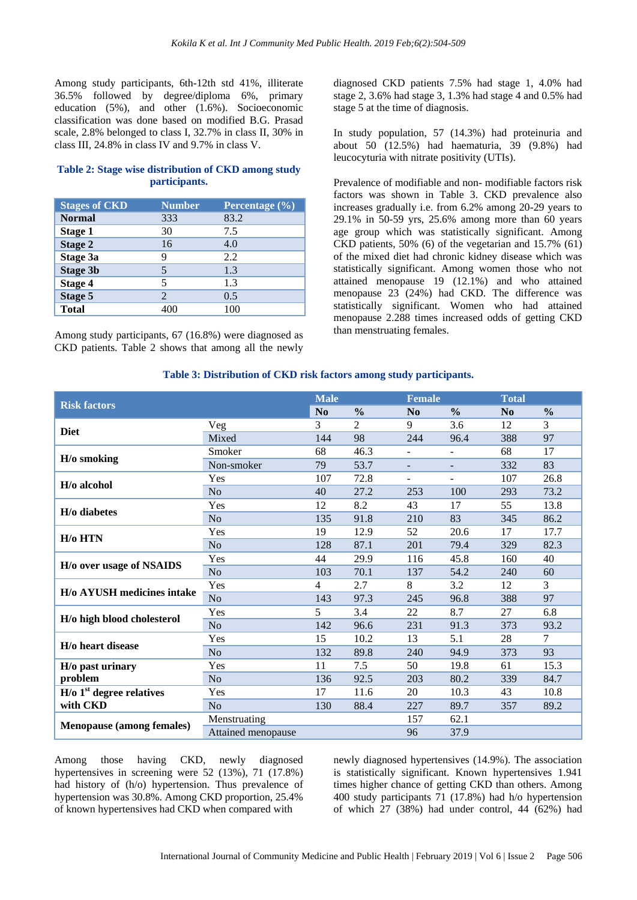Among study participants, 6th-12th std 41%, illiterate 36.5% followed by degree/diploma 6%, primary education (5%), and other (1.6%). Socioeconomic classification was done based on modified B.G. Prasad scale, 2.8% belonged to class I, 32.7% in class II, 30% in class III, 24.8% in class IV and 9.7% in class V.

## **Table 2: Stage wise distribution of CKD among study participants.**

| <b>Stages of CKD</b> | <b>Number</b> | Percentage $(\frac{9}{6})$ |
|----------------------|---------------|----------------------------|
| <b>Normal</b>        | 333           | 83.2                       |
| Stage 1              | 30            | 7.5                        |
| <b>Stage 2</b>       | 16            | 4.0                        |
| Stage 3a             | 9             | 2.2                        |
| <b>Stage 3b</b>      |               | 1.3                        |
| <b>Stage 4</b>       |               | 1.3                        |
| <b>Stage 5</b>       | 2             | 0.5                        |
| <b>Total</b>         |               | 100                        |

Among study participants, 67 (16.8%) were diagnosed as CKD patients. Table 2 shows that among all the newly diagnosed CKD patients 7.5% had stage 1, 4.0% had stage 2, 3.6% had stage 3, 1.3% had stage 4 and 0.5% had stage 5 at the time of diagnosis.

In study population, 57 (14.3%) had proteinuria and about 50 (12.5%) had haematuria, 39 (9.8%) had leucocyturia with nitrate positivity (UTIs).

Prevalence of modifiable and non- modifiable factors risk factors was shown in Table 3. CKD prevalence also increases gradually i.e. from 6.2% among 20-29 years to 29.1% in 50-59 yrs, 25.6% among more than 60 years age group which was statistically significant. Among CKD patients, 50% (6) of the vegetarian and 15.7% (61) of the mixed diet had chronic kidney disease which was statistically significant. Among women those who not attained menopause 19 (12.1%) and who attained menopause  $23 (24%)$  had CKD. The difference was statistically significant. Women who had attained menopause 2.288 times increased odds of getting CKD than menstruating females.

#### **Table 3: Distribution of CKD risk factors among study participants.**

|                                         |                    | <b>Male</b>    |                | <b>Female</b>            |                          | <b>Total</b>   |               |
|-----------------------------------------|--------------------|----------------|----------------|--------------------------|--------------------------|----------------|---------------|
| <b>Risk factors</b>                     |                    | No             | $\frac{0}{0}$  | No                       | $\frac{0}{0}$            | N <sub>0</sub> | $\frac{0}{0}$ |
| <b>Diet</b>                             | Veg                | 3              | $\overline{2}$ | 9                        | 3.6                      | 12             | 3             |
|                                         | Mixed              | 144            | 98             | 244                      | 96.4                     | 388            | 97            |
| H/o smoking                             | Smoker             | 68             | 46.3           | $\blacksquare$           | $\blacksquare$           | 68             | 17            |
|                                         | Non-smoker         | 79             | 53.7           | $\overline{\phantom{a}}$ | $\overline{\phantom{a}}$ | 332            | 83            |
| H/o alcohol                             | Yes                | 107            | 72.8           | $\overline{\phantom{a}}$ | $\overline{\phantom{a}}$ | 107            | 26.8          |
|                                         | N <sub>o</sub>     | 40             | 27.2           | 253                      | 100                      | 293            | 73.2          |
| H/o diabetes                            | Yes                | 12             | 8.2            | 43                       | 17                       | 55             | 13.8          |
|                                         | N <sub>o</sub>     | 135            | 91.8           | 210                      | 83                       | 345            | 86.2          |
| H/o HTN                                 | Yes                | 19             | 12.9           | 52                       | 20.6                     | 17             | 17.7          |
|                                         | N <sub>o</sub>     | 128            | 87.1           | 201                      | 79.4                     | 329            | 82.3          |
| H/o over usage of NSAIDS                | Yes                | 44             | 29.9           | 116                      | 45.8                     | 160            | 40            |
|                                         | N <sub>o</sub>     | 103            | 70.1           | 137                      | 54.2                     | 240            | 60            |
| <b>H/o AYUSH medicines intake</b>       | Yes                | $\overline{4}$ | 2.7            | 8                        | 3.2                      | 12             | 3             |
|                                         | No                 | 143            | 97.3           | 245                      | 96.8                     | 388            | 97            |
| H/o high blood cholesterol              | Yes                | 5              | 3.4            | 22                       | 8.7                      | 27             | 6.8           |
|                                         | No                 | 142            | 96.6           | 231                      | 91.3                     | 373            | 93.2          |
| H/o heart disease                       | Yes                | 15             | 10.2           | 13                       | 5.1                      | 28             | 7             |
|                                         | N <sub>o</sub>     | 132            | 89.8           | 240                      | 94.9                     | 373            | 93            |
| H/o past urinary<br>problem             | Yes                | 11             | 7.5            | 50                       | 19.8                     | 61             | 15.3          |
|                                         | No                 | 136            | 92.5           | 203                      | 80.2                     | 339            | 84.7          |
| $H$ /0 1 <sup>st</sup> degree relatives | Yes                | 17             | 11.6           | 20                       | 10.3                     | 43             | 10.8          |
| with CKD                                | N <sub>o</sub>     | 130            | 88.4           | 227                      | 89.7                     | 357            | 89.2          |
| <b>Menopause (among females)</b>        | Menstruating       |                |                | 157                      | 62.1                     |                |               |
|                                         | Attained menopause |                |                | 96                       | 37.9                     |                |               |

Among those having CKD, newly diagnosed hypertensives in screening were 52 (13%), 71 (17.8%) had history of (h/o) hypertension. Thus prevalence of hypertension was 30.8%. Among CKD proportion, 25.4% of known hypertensives had CKD when compared with

newly diagnosed hypertensives (14.9%). The association is statistically significant. Known hypertensives 1.941 times higher chance of getting CKD than others. Among 400 study participants 71 (17.8%) had h/o hypertension of which 27 (38%) had under control, 44 (62%) had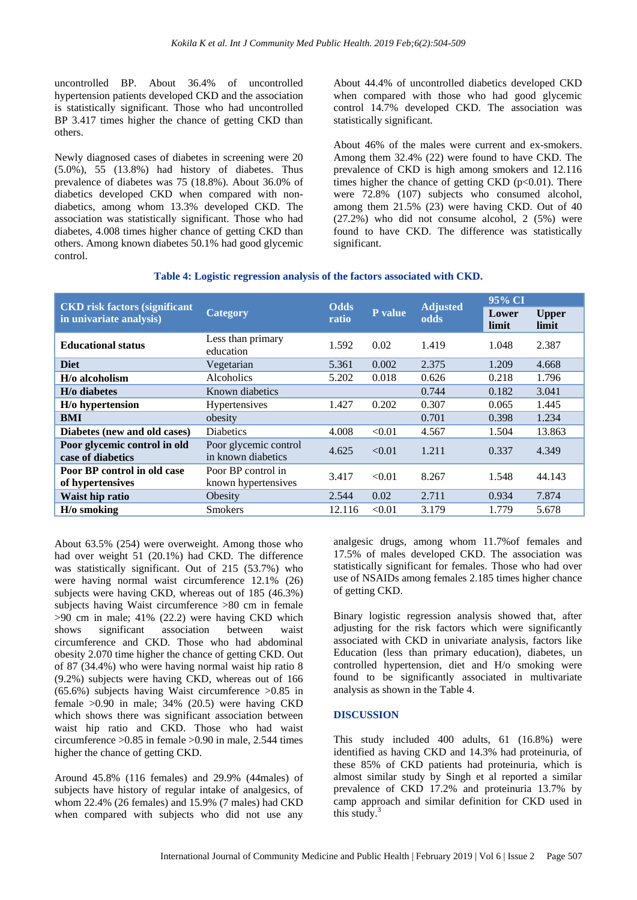uncontrolled BP. About 36.4% of uncontrolled hypertension patients developed CKD and the association is statistically significant. Those who had uncontrolled BP 3.417 times higher the chance of getting CKD than others.

Newly diagnosed cases of diabetes in screening were 20 (5.0%), 55 (13.8%) had history of diabetes. Thus prevalence of diabetes was 75 (18.8%). About 36.0% of diabetics developed CKD when compared with nondiabetics, among whom 13.3% developed CKD. The association was statistically significant. Those who had diabetes, 4.008 times higher chance of getting CKD than others. Among known diabetes 50.1% had good glycemic control.

About 44.4% of uncontrolled diabetics developed CKD when compared with those who had good glycemic control 14.7% developed CKD. The association was statistically significant.

About 46% of the males were current and ex-smokers. Among them 32.4% (22) were found to have CKD. The prevalence of CKD is high among smokers and 12.116 times higher the chance of getting CKD ( $p<0.01$ ). There were 72.8% (107) subjects who consumed alcohol, among them 21.5% (23) were having CKD. Out of 40 (27.2%) who did not consume alcohol, 2 (5%) were found to have CKD. The difference was statistically significant.

# **Table 4: Logistic regression analysis of the factors associated with CKD.**

| <b>CKD</b> risk factors (significant<br>in univariate analysis) | <b>Category</b>                             | <b>Odds</b><br>ratio | P value | <b>Adjusted</b><br>odds | 95% CI         |                       |
|-----------------------------------------------------------------|---------------------------------------------|----------------------|---------|-------------------------|----------------|-----------------------|
|                                                                 |                                             |                      |         |                         | Lower<br>limit | <b>Upper</b><br>limit |
| <b>Educational status</b>                                       | Less than primary<br>education              | 1.592                | 0.02    | 1.419                   | 1.048          | 2.387                 |
| <b>Diet</b>                                                     | Vegetarian                                  | 5.361                | 0.002   | 2.375                   | 1.209          | 4.668                 |
| H/o alcoholism                                                  | <b>Alcoholics</b>                           | 5.202                | 0.018   | 0.626                   | 0.218          | 1.796                 |
| H/o diabetes                                                    | Known diabetics                             |                      |         | 0.744                   | 0.182          | 3.041                 |
| H/o hypertension                                                | <b>Hypertensives</b>                        | 1.427                | 0.202   | 0.307                   | 0.065          | 1.445                 |
| <b>BMI</b>                                                      | obesity                                     |                      |         | 0.701                   | 0.398          | 1.234                 |
| Diabetes (new and old cases)                                    | <b>Diabetics</b>                            | 4.008                | < 0.01  | 4.567                   | 1.504          | 13.863                |
| Poor glycemic control in old<br>case of diabetics               | Poor glycemic control<br>in known diabetics | 4.625                | < 0.01  | 1.211                   | 0.337          | 4.349                 |
| Poor BP control in old case<br>of hypertensives                 | Poor BP control in<br>known hypertensives   | 3.417                | < 0.01  | 8.267                   | 1.548          | 44.143                |
| Waist hip ratio                                                 | Obesity                                     | 2.544                | 0.02    | 2.711                   | 0.934          | 7.874                 |
| $H$ /0 smoking                                                  | <b>Smokers</b>                              | 12.116               | < 0.01  | 3.179                   | 1.779          | 5.678                 |

About 63.5% (254) were overweight. Among those who had over weight 51 (20.1%) had CKD. The difference was statistically significant. Out of 215 (53.7%) who were having normal waist circumference 12.1% (26) subjects were having CKD, whereas out of 185 (46.3%) subjects having Waist circumference >80 cm in female >90 cm in male; 41% (22.2) were having CKD which shows significant association between waist circumference and CKD. Those who had abdominal obesity 2.070 time higher the chance of getting CKD. Out of 87 (34.4%) who were having normal waist hip ratio 8 (9.2%) subjects were having CKD, whereas out of 166 (65.6%) subjects having Waist circumference >0.85 in female >0.90 in male; 34% (20.5) were having CKD which shows there was significant association between waist hip ratio and CKD. Those who had waist circumference >0.85 in female >0.90 in male, 2.544 times higher the chance of getting CKD.

Around 45.8% (116 females) and 29.9% (44males) of subjects have history of regular intake of analgesics, of whom 22.4% (26 females) and 15.9% (7 males) had CKD when compared with subjects who did not use any analgesic drugs, among whom 11.7%of females and 17.5% of males developed CKD. The association was statistically significant for females. Those who had over use of NSAIDs among females 2.185 times higher chance of getting CKD.

Binary logistic regression analysis showed that, after adjusting for the risk factors which were significantly associated with CKD in univariate analysis, factors like Education (less than primary education), diabetes, un controlled hypertension, diet and H/o smoking were found to be significantly associated in multivariate analysis as shown in the Table 4.

#### **DISCUSSION**

This study included 400 adults, 61 (16.8%) were identified as having CKD and 14.3% had proteinuria, of these 85% of CKD patients had proteinuria, which is almost similar study by Singh et al reported a similar prevalence of CKD 17.2% and proteinuria 13.7% by camp approach and similar definition for CKD used in this study. $3$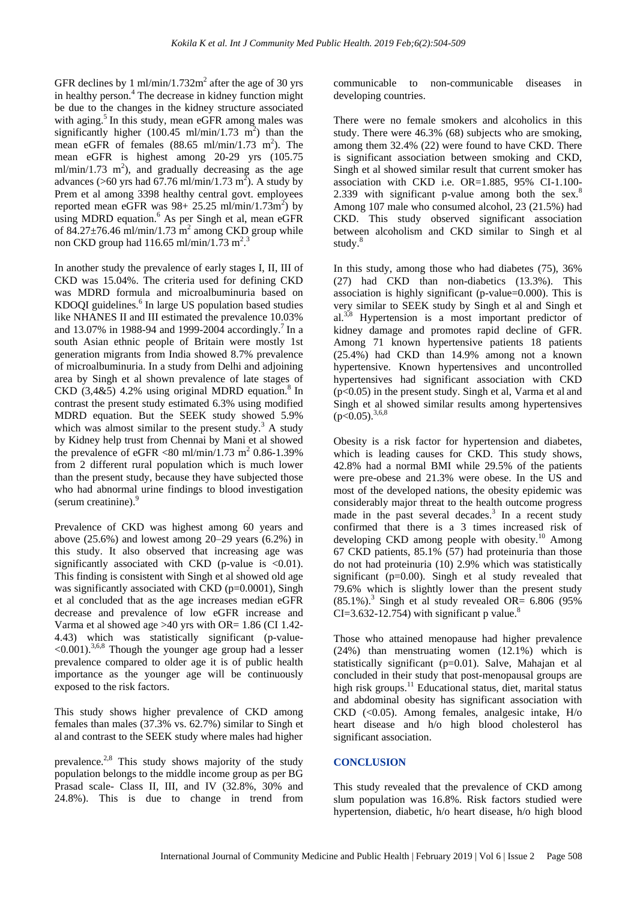GFR declines by 1 ml/min/1.732 $m^2$  after the age of 30 yrs in healthy person.<sup>4</sup> The decrease in kidney function might be due to the changes in the kidney structure associated with aging.<sup>5</sup> In this study, mean eGFR among males was significantly higher  $(100.45 \text{ ml/min}/1.73 \text{ m}^2)$  than the mean eGFR of females  $(88.65 \text{ ml/min}/1.73 \text{ m}^2)$ . The mean eGFR is highest among 20-29 yrs (105.75  $m1/min/1.73 m<sup>2</sup>$ ), and gradually decreasing as the age advances (>60 yrs had 67.76 ml/min/1.73 m<sup>2</sup>). A study by Prem et al among 3398 healthy central govt. employees reported mean eGFR was  $98 + 25.25$  ml/min/1.73m<sup>2</sup>) by using MDRD equation.<sup>6</sup> As per Singh et al, mean eGFR of  $84.27 \pm 76.46$  ml/min/1.73 m<sup>2</sup> among CKD group while non CKD group had  $116.65$  ml/min/1.73 m<sup>2</sup>.<sup>3</sup>

In another study the prevalence of early stages I, II, III of CKD was 15.04%. The criteria used for defining CKD was MDRD formula and microalbuminuria based on KDOQI guidelines.<sup>6</sup> In large US population based studies like NHANES II and III estimated the prevalence 10.03% and  $13.07\%$  in 1988-94 and 1999-2004 accordingly.<sup>7</sup> In a south Asian ethnic people of Britain were mostly 1st generation migrants from India showed 8.7% prevalence of microalbuminuria. In a study from Delhi and adjoining area by Singh et al shown prevalence of late stages of CKD  $(3,4&5)$  4.2% using original MDRD equation.<sup>8</sup> In contrast the present study estimated 6.3% using modified MDRD equation. But the SEEK study showed 5.9% which was almost similar to the present study.<sup>3</sup> A study by Kidney help trust from Chennai by Mani et al showed the prevalence of eGFR  $\langle 80 \text{ ml/min}/1.73 \text{ m}^2 \text{ } 0.86 \text{-} 1.39 \%$ from 2 different rural population which is much lower than the present study, because they have subjected those who had abnormal urine findings to blood investigation (serum creatinine).<sup>9</sup>

Prevalence of CKD was highest among 60 years and above  $(25.6\%)$  and lowest among  $20-29$  years  $(6.2\%)$  in this study. It also observed that increasing age was significantly associated with CKD (p-value is  $\langle 0.01 \rangle$ ). This finding is consistent with Singh et al showed old age was significantly associated with CKD (p=0.0001), Singh et al concluded that as the age increases median eGFR decrease and prevalence of low eGFR increase and Varma et al showed age  $>40$  yrs with OR= 1.86 (CI 1.42-4.43) which was statistically significant (p-value-  $<$ 0.001).<sup>3,6,8</sup> Though the younger age group had a lesser prevalence compared to older age it is of public health importance as the younger age will be continuously exposed to the risk factors.

This study shows higher prevalence of CKD among females than males (37.3% vs. 62.7%) similar to Singh et al and contrast to the SEEK study where males had higher

prevalence.<sup>2,8</sup> This study shows majority of the study population belongs to the middle income group as per BG Prasad scale- Class II, III, and IV (32.8%, 30% and 24.8%). This is due to change in trend from communicable to non-communicable diseases in developing countries.

There were no female smokers and alcoholics in this study. There were 46.3% (68) subjects who are smoking, among them 32.4% (22) were found to have CKD. There is significant association between smoking and CKD, Singh et al showed similar result that current smoker has association with CKD i.e. OR=1.885, 95% CI-1.100- 2.339 with significant p-value among both the sex. $8$ Among 107 male who consumed alcohol, 23 (21.5%) had CKD. This study observed significant association between alcoholism and CKD similar to Singh et al study.<sup>8</sup>

In this study, among those who had diabetes (75), 36% (27) had CKD than non-diabetics (13.3%). This association is highly significant (p-value=0.000). This is very similar to SEEK study by Singh et al and Singh et  $al^{3,8}$  Hypertension is a most important predictor of kidney damage and promotes rapid decline of GFR. Among 71 known hypertensive patients 18 patients (25.4%) had CKD than 14.9% among not a known hypertensive. Known hypertensives and uncontrolled hypertensives had significant association with CKD (p<0.05) in the present study. Singh et al, Varma et al and Singh et al showed similar results among hypertensives  $(p<0.05)$ <sup>3,6,8</sup>

Obesity is a risk factor for hypertension and diabetes, which is leading causes for CKD. This study shows, 42.8% had a normal BMI while 29.5% of the patients were pre-obese and 21.3% were obese. In the US and most of the developed nations, the obesity epidemic was considerably major threat to the health outcome progress made in the past several decades.<sup>3</sup> In a recent study confirmed that there is a 3 times increased risk of developing CKD among people with obesity.<sup>10</sup> Among 67 CKD patients, 85.1% (57) had proteinuria than those do not had proteinuria (10) 2.9% which was statistically significant (p=0.00). Singh et al study revealed that 79.6% which is slightly lower than the present study  $(85.1\%)$ <sup>3</sup> Singh et al study revealed OR= 6.806 (95%) CI=3.632-12.754) with significant p value. $8$ 

Those who attained menopause had higher prevalence (24%) than menstruating women (12.1%) which is statistically significant (p=0.01). Salve, Mahajan et al concluded in their study that post-menopausal groups are high risk groups.<sup>11</sup> Educational status, diet, marital status and abdominal obesity has significant association with CKD (<0.05). Among females, analgesic intake, H/o heart disease and h/o high blood cholesterol has significant association.

#### **CONCLUSION**

This study revealed that the prevalence of CKD among slum population was 16.8%. Risk factors studied were hypertension, diabetic, h/o heart disease, h/o high blood